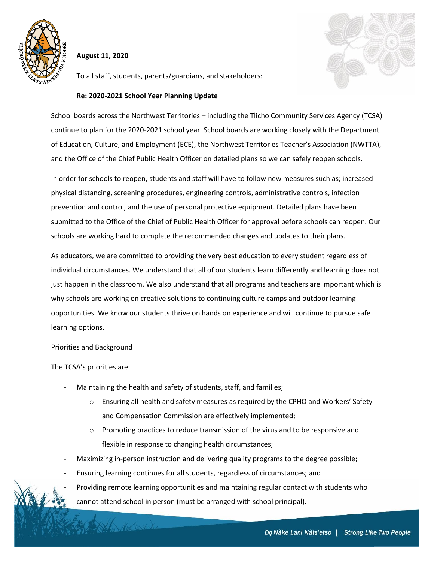

## **August 11, 2020**

To all staff, students, parents/guardians, and stakeholders:



## **Re: 2020-2021 School Year Planning Update**

School boards across the Northwest Territories – including the Tlicho Community Services Agency (TCSA) continue to plan for the 2020-2021 school year. School boards are working closely with the Department of Education, Culture, and Employment (ECE), the Northwest Territories Teacher's Association (NWTTA), and the Office of the Chief Public Health Officer on detailed plans so we can safely reopen schools.

In order for schools to reopen, students and staff will have to follow new measures such as; increased physical distancing, screening procedures, engineering controls, administrative controls, infection prevention and control, and the use of personal protective equipment. Detailed plans have been submitted to the Office of the Chief of Public Health Officer for approval before schools can reopen. Our schools are working hard to complete the recommended changes and updates to their plans.

As educators, we are committed to providing the very best education to every student regardless of individual circumstances. We understand that all of our students learn differently and learning does not just happen in the classroom. We also understand that all programs and teachers are important which is why schools are working on creative solutions to continuing culture camps and outdoor learning opportunities. We know our students thrive on hands on experience and will continue to pursue safe learning options.

## Priorities and Background

The TCSA's priorities are:

VALLE

- Maintaining the health and safety of students, staff, and families;
	- o Ensuring all health and safety measures as required by the CPHO and Workers' Safety and Compensation Commission are effectively implemented;
	- $\circ$  Promoting practices to reduce transmission of the virus and to be responsive and flexible in response to changing health circumstances;
- Maximizing in-person instruction and delivering quality programs to the degree possible;
- Ensuring learning continues for all students, regardless of circumstances; and



Providing remote learning opportunities and maintaining regular contact with students who cannot attend school in person (must be arranged with school principal).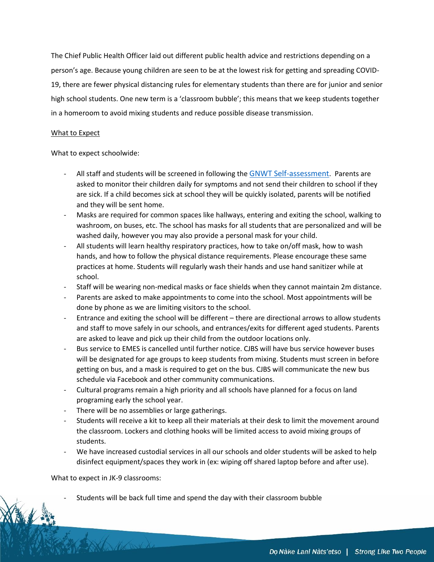The Chief Public Health Officer laid out different public health advice and restrictions depending on a person's age. Because young children are seen to be at the lowest risk for getting and spreading COVID-19, there are fewer physical distancing rules for elementary students than there are for junior and senior high school students. One new term is a 'classroom bubble'; this means that we keep students together in a homeroom to avoid mixing students and reduce possible disease transmission.

## What to Expect

What to expect schoolwide:

- All staff and students will be screened in following the GNWT Self-assessment. Parents are asked to monitor their children daily for symptoms and not send their children to school if they are sick. If a child becomes sick at school they will be quickly isolated, parents will be notified and they will be sent home.
- Masks are required for common spaces like hallways, entering and exiting the school, walking to washroom, on buses, etc. The school has masks for all students that are personalized and will be washed daily, however you may also provide a personal mask for your child.
- All students will learn healthy respiratory practices, how to take on/off mask, how to wash hands, and how to follow the physical distance requirements. Please encourage these same practices at home. Students will regularly wash their hands and use hand sanitizer while at school.
- Staff will be wearing non-medical masks or face shields when they cannot maintain 2m distance.
- Parents are asked to make appointments to come into the school. Most appointments will be done by phone as we are limiting visitors to the school.
- Entrance and exiting the school will be different there are directional arrows to allow students and staff to move safely in our schools, and entrances/exits for different aged students. Parents are asked to leave and pick up their child from the outdoor locations only.
- Bus service to EMES is cancelled until further notice. CJBS will have bus service however buses will be designated for age groups to keep students from mixing. Students must screen in before getting on bus, and a mask is required to get on the bus. CJBS will communicate the new bus schedule via Facebook and other community communications.
- Cultural programs remain a high priority and all schools have planned for a focus on land programing early the school year.
- There will be no assemblies or large gatherings.
- Students will receive a kit to keep all their materials at their desk to limit the movement around the classroom. Lockers and clothing hooks will be limited access to avoid mixing groups of students.
- We have increased custodial services in all our schools and older students will be asked to help disinfect equipment/spaces they work in (ex: wiping off shared laptop before and after use).

What to expect in JK-9 classrooms:

A AMARA

- Students will be back full time and spend the day with their classroom bubble